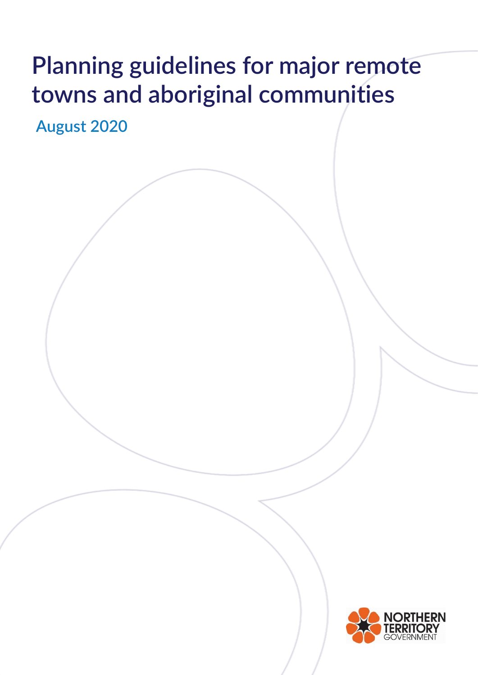# **Planning guidelines for major remote towns and aboriginal communities**

**August 2020**

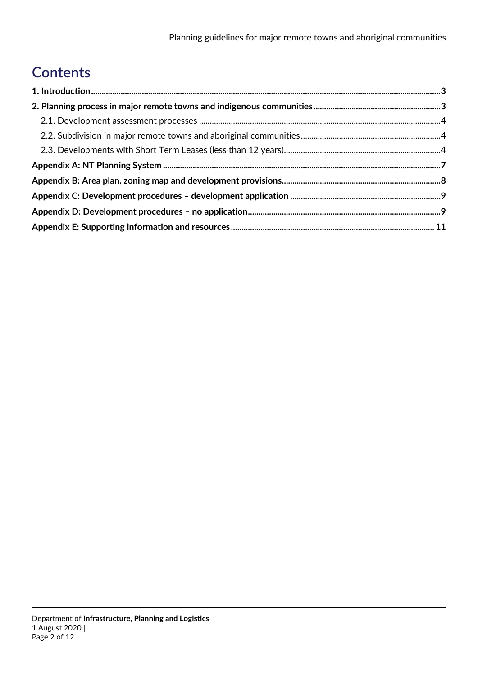# **Contents**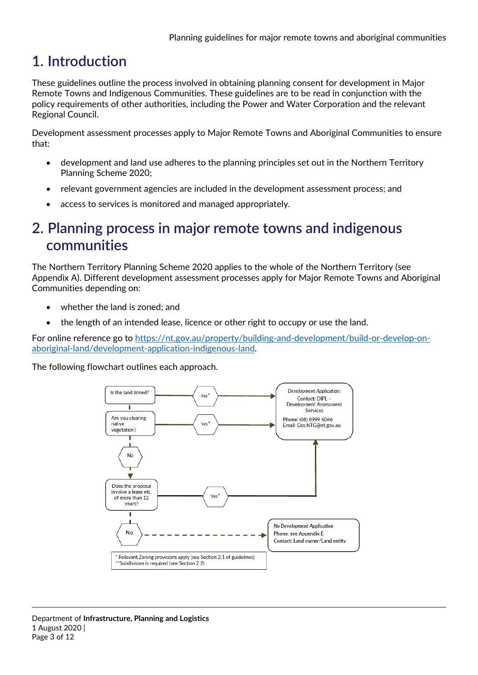# <span id="page-2-0"></span>**1. Introduction**

These guidelines outline the process involved in obtaining planning consent for development in Major Remote Towns and Indigenous Communities. These guidelines are to be read in conjunction with the policy requirements of other authorities, including the Power and Water Corporation and the relevant Regional Council.

Development assessment processes apply to Major Remote Towns and Aboriginal Communities to ensure that:

- development and land use adheres to the planning principles set out in the Northern Territory Planning Scheme 2020;
- relevant government agencies are included in the development assessment process; and
- access to services is monitored and managed appropriately.

### <span id="page-2-1"></span>**2. Planning process in major remote towns and indigenous communities**

The Northern Territory Planning Scheme 2020 applies to the whole of the Northern Territory (see Appendix A). Different development assessment processes apply for Major Remote Towns and Aboriginal Communities depending on:

- whether the land is zoned; and
- the length of an intended lease, licence or other right to occupy or use the land.

For online reference go to [https://nt.gov.au/property/building-and-development/build-or-develop-on](https://nt.gov.au/property/building-and-development/build-or-develop-on-aboriginal-land/development-application-indigenous-land)[aboriginal-land/development-application-indigenous-land.](https://nt.gov.au/property/building-and-development/build-or-develop-on-aboriginal-land/development-application-indigenous-land)

The following flowchart outlines each approach.

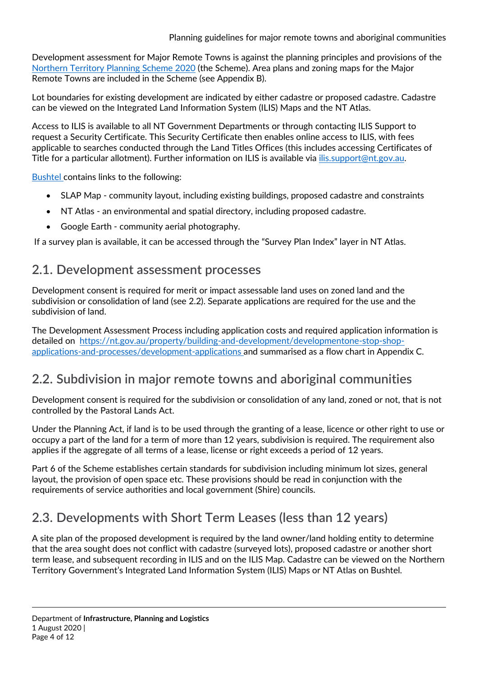Development assessment for Major Remote Towns is against the planning principles and provisions of th[e](http://www.lands.nt.gov.au/planning/planning-scheme) [Northern](http://www.lands.nt.gov.au/planning/planning-scheme) [Territory Planning](http://www.lands.nt.gov.au/planning/planning-scheme) [Scheme](http://www.lands.nt.gov.au/planning/planning-scheme) 2020 (the Scheme). Area plans and zoning maps for the Major Remote Towns are included in the Scheme (see Appendix B).

Lot boundaries for existing development are indicated by either cadastre or proposed cadastre. Cadastre can be viewed on the Integrated Land Information System (ILIS) Maps and the NT Atlas.

Access to ILIS is available to all NT Government Departments or through contacting ILIS Support to request a Security Certificate. This Security Certificate then enables online access to ILIS, with fees applicable to searches conducted through the Land Titles Offices (this includes accessing Certificates of Title for a particular allotment). Further information on ILIS is available via [ilis.support@nt.gov.au.](mailto:ilis.support@nt.gov.au)

[Bushtel](http://www.bushtel.nt.gov.au/) contains links to the following:

- SLAP Map community layout, including existing buildings, proposed cadastre and constraints
- NT Atlas an environmental and spatial directory, including proposed cadastre.
- Google Earth community aerial photography.

If a survey plan is available, it can be accessed through the "Survey Plan Index" layer in NT Atlas.

### <span id="page-3-0"></span>**2.1. Development assessment processes**

Development consent is required for merit or impact assessable land uses on zoned land and the subdivision or consolidation of land (see 2.2). Separate applications are required for the use and the subdivision of land.

The Development Assessment Process including application costs and required application information is detailed on [https://nt.gov.au/property/building-and-development/developmentone-stop-shop](https://nt.gov.au/property/building-and-development/development-one-stop-shop-applications-and-processes/development-applications)[applications-and-processes/development-applications](https://nt.gov.au/property/building-and-development/development-one-stop-shop-applications-and-processes/development-applications) [an](https://nt.gov.au/property/building-and-development/development-one-stop-shop-applications-and-processes/development-applications)d summarised as a flow chart in Appendix C.

### <span id="page-3-1"></span>**2.2. Subdivision in major remote towns and aboriginal communities**

Development consent is required for the subdivision or consolidation of any land, zoned or not, that is not controlled by the Pastoral Lands Act.

Under the Planning Act, if land is to be used through the granting of a lease, licence or other right to use or occupy a part of the land for a term of more than 12 years, subdivision is required. The requirement also applies if the aggregate of all terms of a lease, license or right exceeds a period of 12 years.

Part 6 of the Scheme establishes certain standards for subdivision including minimum lot sizes, general layout, the provision of open space etc. These provisions should be read in conjunction with the requirements of service authorities and local government (Shire) councils.

### <span id="page-3-2"></span>**2.3. Developments with Short Term Leases (less than 12 years)**

A site plan of the proposed development is required by the land owner/land holding entity to determine that the area sought does not conflict with cadastre (surveyed lots), proposed cadastre or another short term lease, and subsequent recording in ILIS and on the ILIS Map. Cadastre can be viewed on the Northern Territory Government's Integrated Land Information System (ILIS) Maps or NT Atlas on Bushtel.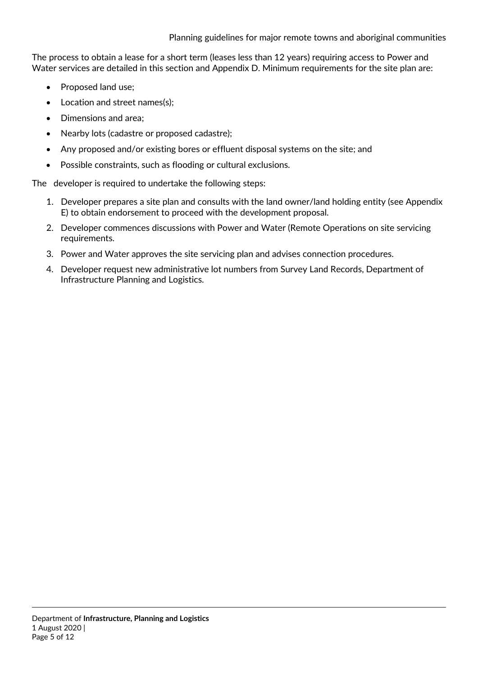The process to obtain a lease for a short term (leases less than 12 years) requiring access to Power and Water services are detailed in this section and Appendix D. Minimum requirements for the site plan are:

- Proposed land use;
- Location and street names(s);
- Dimensions and area;
- Nearby lots (cadastre or proposed cadastre);
- Any proposed and/or existing bores or effluent disposal systems on the site; and
- Possible constraints, such as flooding or cultural exclusions.

The developer is required to undertake the following steps:

- 1. Developer prepares a site plan and consults with the land owner/land holding entity (see Appendix E) to obtain endorsement to proceed with the development proposal.
- 2. Developer commences discussions with Power and Water (Remote Operations on site servicing requirements.
- 3. Power and Water approves the site servicing plan and advises connection procedures.
- 4. Developer request new administrative lot numbers from Survey Land Records, Department of Infrastructure Planning and Logistics.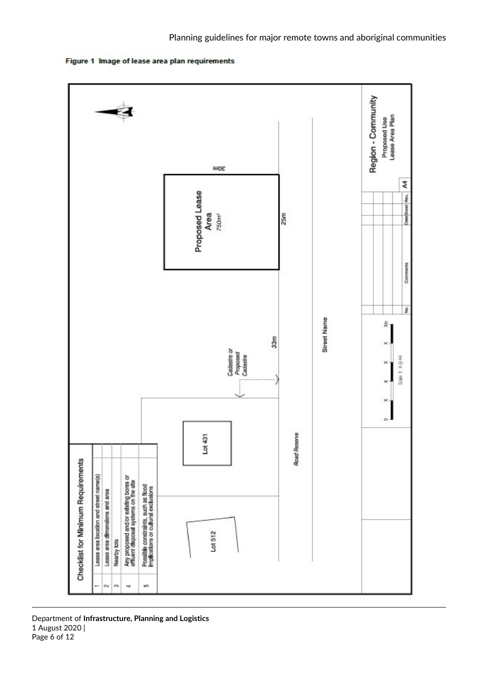

Figure 1 Image of lease area plan requirements

Department of **Infrastructure, Planning and Logistics** 1 August 2020 | Page 6 of 12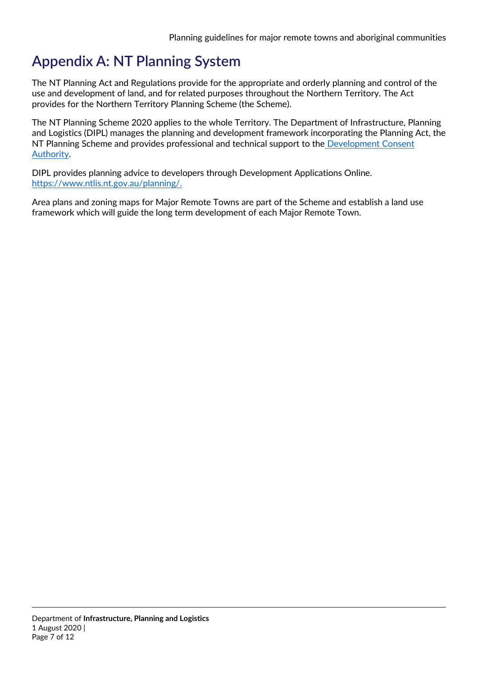# <span id="page-6-0"></span>**Appendix A: NT Planning System**

The NT Planning Act and Regulations provide for the appropriate and orderly planning and control of the use and development of land, and for related purposes throughout the Northern Territory. The Act provides for the Northern Territory Planning Scheme (the Scheme).

The NT Planning Scheme 2020 applies to the whole Territory. The Department of Infrastructure, Planning and Logistics (DIPL) manages the planning and development framework incorporating the Planning Act, the NT Planning Scheme and provides professional and technical support to th[e](http://www.nt.gov.au:8080/lands/planning/dca/index.shtml) [Development Consent](http://www.nt.gov.au:8080/lands/planning/dca/index.shtml)  [Authority.](http://www.nt.gov.au:8080/lands/planning/dca/index.shtml)

DIPL provides planning advice to developers through Development Applications Online. https://www.ntlis.nt.gov.au/planning/.

Area plans and zoning maps for Major Remote Towns are part of the Scheme and establish a land use framework which will guide the long term development of each Major Remote Town.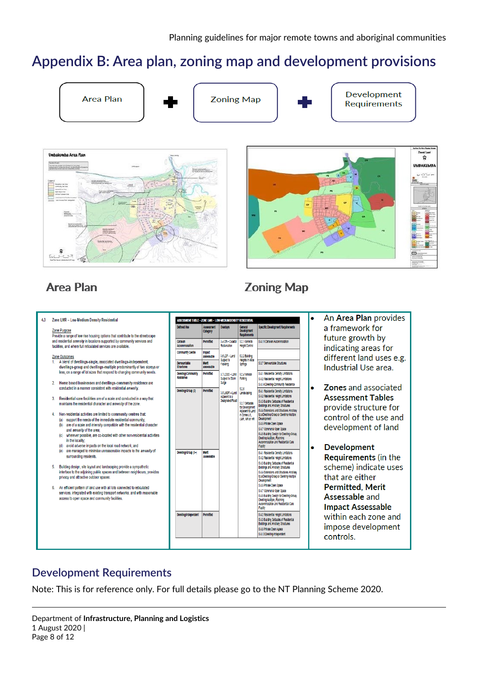## <span id="page-7-0"></span>**Appendix B: Area plan, zoning map and development provisions**



### **Area Plan**

#### 4.3 Zone LMR - Low-Medium Density Residential

#### Zone Purpose

Provide a range of low rise housing options that contribute to the streetscape and residential amenity in locations supported by community services and facilities, and where full reticulated services are available.

#### Zone Outcomes

- A blend of dwellings-single, associated dwellings-independent,<br>dwellings-group and dwellings-multiple predominantly of two storeys or less, on a range of lot sizes that respond to changing community needs.
- 2. Home based businesses and dwellings-community residence are conducted in a manner consistent with residential amenity
- Residential care facilities are of a scale and conducted in a way that  $3<sub>1</sub>$ maintains the residential character and amenity of the zone
- Non-residential activities are limited to community centres that:
	- (a) support the needs of the immediate residential community (b) are of a scale and intensity compatible with the residential character and amenity of the area;
	- (c) wherever possible, are co-located with other non-residential activities
	- wherever possible, are co-located with other holi-resi<br>in the locality,<br>avoid adverse impacts on the local road network; and<br>are managed to minimise unreasonable impacts to th  $(d)$
	- (e) are managed to minimise unreasonable impacts to the amenity of surrounding residents.
- $\overline{\mathbf{5}}$ Building design, site layout and landscaping provide a sympathetic interface to the adjoining public spaces and between neighbours, provides<br>privacy and attractive outdoor spaces.
- An efficient pattern of land use with all lots connected to reticulated  $\overline{6}$ services, integrated with existing transport networks, and with reasonable access to open space and community facilities.



# **Zoning Map**

- An Area Plan provides a framework for future growth by indicating areas for different land uses e.g. Industrial Use area.
- **Zones and associated Assessment Tables** provide structure for control of the use and development of land
- **Development** Requirements (in the scheme) indicate uses that are either **Permitted, Merit** Assessable and **Impact Assessable** within each zone and impose development controls.

### **Development Requirements**

Note: This is for reference only. For full details please go to the NT Planning Scheme 2020.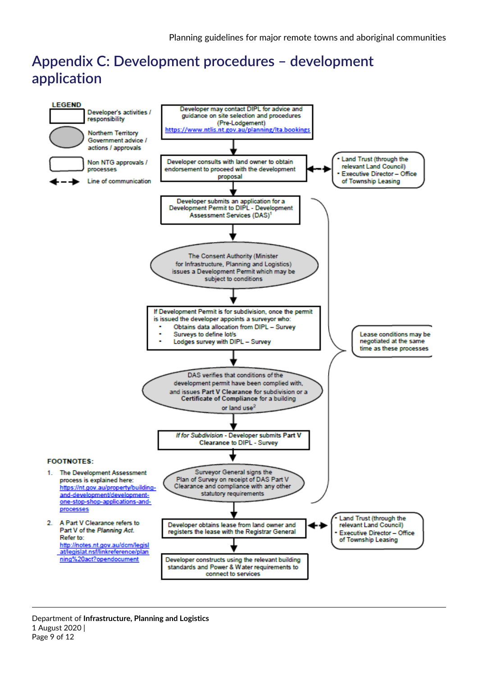# <span id="page-8-0"></span>**Appendix C: Development procedures – development application**

<span id="page-8-1"></span>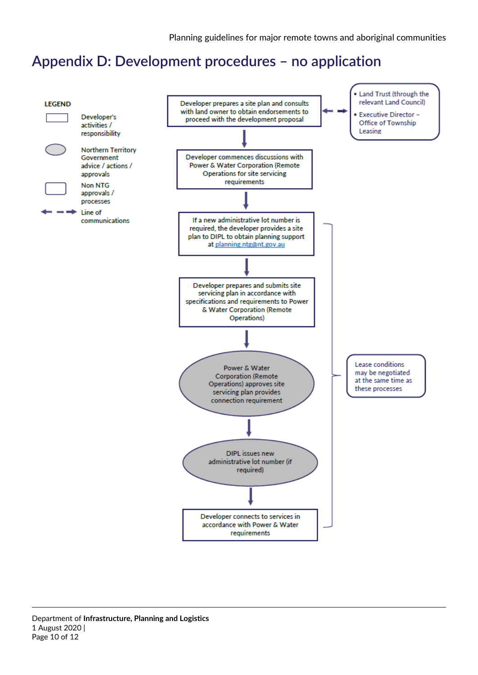# **Appendix D: Development procedures – no application**

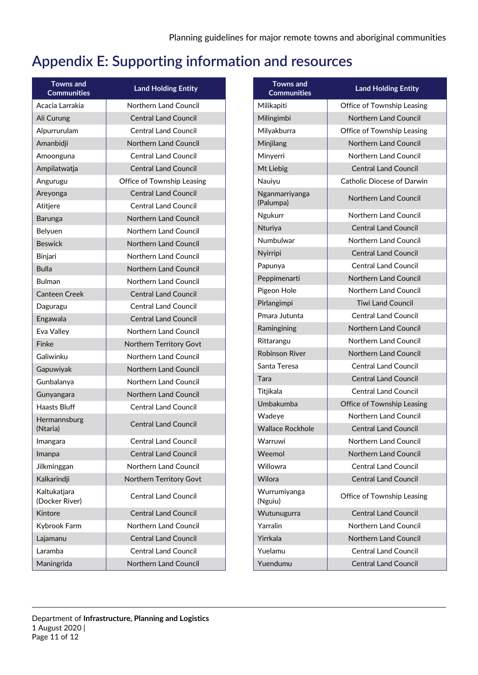# <span id="page-10-0"></span>**Appendix E: Supporting information and resources**

| <b>Towns and</b><br><b>Communities</b> | <b>Land Holding Entity</b>   |  |
|----------------------------------------|------------------------------|--|
| Acacia Larrakia                        | Northern Land Council        |  |
| Ali Curung                             | <b>Central Land Council</b>  |  |
| Alpurrurulam                           | <b>Central Land Council</b>  |  |
| Amanbidji                              | Northern Land Council        |  |
| Amoonguna                              | <b>Central Land Council</b>  |  |
| Ampilatwatja                           | <b>Central Land Council</b>  |  |
| Angurugu                               | Office of Township Leasing   |  |
| Areyonga                               | <b>Central Land Council</b>  |  |
| Atitjere                               | <b>Central Land Council</b>  |  |
| <b>Barunga</b>                         | Northern Land Council        |  |
| Belyuen                                | Northern Land Council        |  |
| <b>Beswick</b>                         | <b>Northern Land Council</b> |  |
| Binjari                                | Northern Land Council        |  |
| <b>Bulla</b>                           | Northern Land Council        |  |
| <b>Bulman</b>                          | Northern Land Council        |  |
| Canteen Creek                          | <b>Central Land Council</b>  |  |
| Daguragu                               | <b>Central Land Council</b>  |  |
| Engawala                               | <b>Central Land Council</b>  |  |
| Eva Valley                             | Northern Land Council        |  |
| Finke                                  | Northern Territory Govt      |  |
| Galiwinku                              | Northern Land Council        |  |
| Gapuwiyak                              | <b>Northern Land Council</b> |  |
| Gunbalanya                             | Northern Land Council        |  |
| Gunyangara                             | Northern Land Council        |  |
| <b>Haasts Bluff</b>                    | <b>Central Land Council</b>  |  |
| Hermannsburg<br>(Ntaria)               | <b>Central Land Council</b>  |  |
| Imangara                               | <b>Central Land Council</b>  |  |
| Imanpa                                 | <b>Central Land Council</b>  |  |
| Jilkminggan                            | Northern Land Council        |  |
| Kalkarindji                            | Northern Territory Govt      |  |
| Kaltukatjara<br>(Docker River)         | <b>Central Land Council</b>  |  |
| Kintore                                | <b>Central Land Council</b>  |  |
| Kybrook Farm                           | Northern Land Council        |  |
| Lajamanu                               | <b>Central Land Council</b>  |  |
| Laramba                                | <b>Central Land Council</b>  |  |
| Maningrida                             | Northern Land Council        |  |

| <b>Towns</b> and<br><b>Communities</b> | <b>Land Holding Entity</b>   |  |
|----------------------------------------|------------------------------|--|
| Milikapiti                             | Office of Township Leasing   |  |
| Milingimbi                             | Northern Land Council        |  |
| Milyakburra                            | Office of Township Leasing   |  |
| Minjilang                              | <b>Northern Land Council</b> |  |
| Minyerri                               | Northern Land Council        |  |
| Mt Liebig                              | <b>Central Land Council</b>  |  |
| Nauiyu                                 | Catholic Diocese of Darwin   |  |
| Nganmarriyanga<br>(Palumpa)            | Northern Land Council        |  |
| Ngukurr                                | Northern Land Council        |  |
| Nturiya                                | <b>Central Land Council</b>  |  |
| Numbulwar                              | Northern Land Council        |  |
| Nyirripi                               | <b>Central Land Council</b>  |  |
| Papunya                                | <b>Central Land Council</b>  |  |
| Peppimenarti                           | Northern Land Council        |  |
| Pigeon Hole                            | Northern Land Council        |  |
| Pirlangimpi                            | <b>Tiwi Land Council</b>     |  |
| Pmara Jutunta                          | <b>Central Land Council</b>  |  |
| Ramingining                            | <b>Northern Land Council</b> |  |
| Rittarangu                             | <b>Northern Land Council</b> |  |
| <b>Robinson River</b>                  | <b>Northern Land Council</b> |  |
| Santa Teresa                           | <b>Central Land Council</b>  |  |
| Tara                                   | <b>Central Land Council</b>  |  |
| Titjikala                              | <b>Central Land Council</b>  |  |
| Umbakumba                              | Office of Township Leasing   |  |
| Wadeye                                 | Northern Land Council        |  |
| <b>Wallace Rockhole</b>                | <b>Central Land Council</b>  |  |
| Warruwi                                | Northern Land Council        |  |
| Weemol                                 | <b>Northern Land Council</b> |  |
| Willowra                               | <b>Central Land Council</b>  |  |
| Wilora                                 | <b>Central Land Council</b>  |  |
| Wurrumiyanga<br>(Nguiu)                | Office of Township Leasing   |  |
| Wutunugurra                            | <b>Central Land Council</b>  |  |
| Yarralin                               | Northern Land Council        |  |
| Yirrkala                               | Northern Land Council        |  |
| Yuelamu                                | <b>Central Land Council</b>  |  |
| Yuendumu                               | <b>Central Land Council</b>  |  |